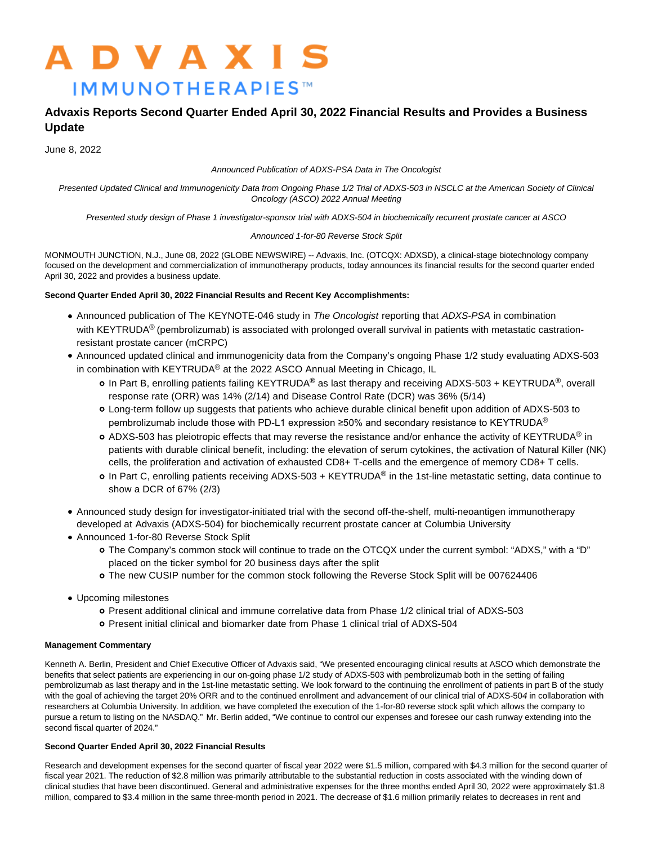# **ADVAXIS IMMUNOTHERAPIES™**

## **Advaxis Reports Second Quarter Ended April 30, 2022 Financial Results and Provides a Business Update**

June 8, 2022

#### Announced Publication of ADXS-PSA Data in The Oncologist

Presented Updated Clinical and Immunogenicity Data from Ongoing Phase 1/2 Trial of ADXS-503 in NSCLC at the American Society of Clinical Oncology (ASCO) 2022 Annual Meeting

Presented study design of Phase 1 investigator-sponsor trial with ADXS-504 in biochemically recurrent prostate cancer at ASCO

### Announced 1-for-80 Reverse Stock Split

MONMOUTH JUNCTION, N.J., June 08, 2022 (GLOBE NEWSWIRE) -- Advaxis, Inc. (OTCQX: ADXSD), a clinical-stage biotechnology company focused on the development and commercialization of immunotherapy products, today announces its financial results for the second quarter ended April 30, 2022 and provides a business update.

## **Second Quarter Ended April 30, 2022 Financial Results and Recent Key Accomplishments:**

- Announced publication of The KEYNOTE-046 study in The Oncologist reporting that ADXS-PSA in combination with KEYTRUDA<sup>®</sup> (pembrolizumab) is associated with prolonged overall survival in patients with metastatic castrationresistant prostate cancer (mCRPC)
- Announced updated clinical and immunogenicity data from the Company's ongoing Phase 1/2 study evaluating ADXS-503 in combination with KEYTRUDA<sup>®</sup> at the 2022 ASCO Annual Meeting in Chicago, IL
	- o In Part B, enrolling patients failing KEYTRUDA® as last therapy and receiving ADXS-503 + KEYTRUDA®, overall response rate (ORR) was 14% (2/14) and Disease Control Rate (DCR) was 36% (5/14)
	- Long-term follow up suggests that patients who achieve durable clinical benefit upon addition of ADXS-503 to pembrolizumab include those with PD-L1 expression ≥50% and secondary resistance to KEYTRUDA<sup>®</sup>
	- **o** ADXS-503 has pleiotropic effects that may reverse the resistance and/or enhance the activity of KEYTRUDA<sup>®</sup> in patients with durable clinical benefit, including: the elevation of serum cytokines, the activation of Natural Killer (NK) cells, the proliferation and activation of exhausted CD8+ T-cells and the emergence of memory CD8+ T cells.
	- **o** In Part C, enrolling patients receiving ADXS-503 + KEYTRUDA<sup>®</sup> in the 1st-line metastatic setting, data continue to show a DCR of 67% (2/3)
- Announced study design for investigator-initiated trial with the second off-the-shelf, multi-neoantigen immunotherapy developed at Advaxis (ADXS-504) for biochemically recurrent prostate cancer at Columbia University
- Announced 1-for-80 Reverse Stock Split
	- The Company's common stock will continue to trade on the OTCQX under the current symbol: "ADXS," with a "D" placed on the ticker symbol for 20 business days after the split
	- The new CUSIP number for the common stock following the Reverse Stock Split will be 007624406
- Upcoming milestones
	- Present additional clinical and immune correlative data from Phase 1/2 clinical trial of ADXS-503
	- Present initial clinical and biomarker date from Phase 1 clinical trial of ADXS-504

## **Management Commentary**

Kenneth A. Berlin, President and Chief Executive Officer of Advaxis said, "We presented encouraging clinical results at ASCO which demonstrate the benefits that select patients are experiencing in our on-going phase 1/2 study of ADXS-503 with pembrolizumab both in the setting of failing pembrolizumab as last therapy and in the 1st-line metastatic setting. We look forward to the continuing the enrollment of patients in part B of the study with the goal of achieving the target 20% ORR and to the continued enrollment and advancement of our clinical trial of ADXS-504 in collaboration with researchers at Columbia University. In addition, we have completed the execution of the 1-for-80 reverse stock split which allows the company to pursue a return to listing on the NASDAQ." Mr. Berlin added, "We continue to control our expenses and foresee our cash runway extending into the second fiscal quarter of 2024."

## **Second Quarter Ended April 30, 2022 Financial Results**

Research and development expenses for the second quarter of fiscal year 2022 were \$1.5 million, compared with \$4.3 million for the second quarter of fiscal year 2021. The reduction of \$2.8 million was primarily attributable to the substantial reduction in costs associated with the winding down of clinical studies that have been discontinued. General and administrative expenses for the three months ended April 30, 2022 were approximately \$1.8 million, compared to \$3.4 million in the same three-month period in 2021. The decrease of \$1.6 million primarily relates to decreases in rent and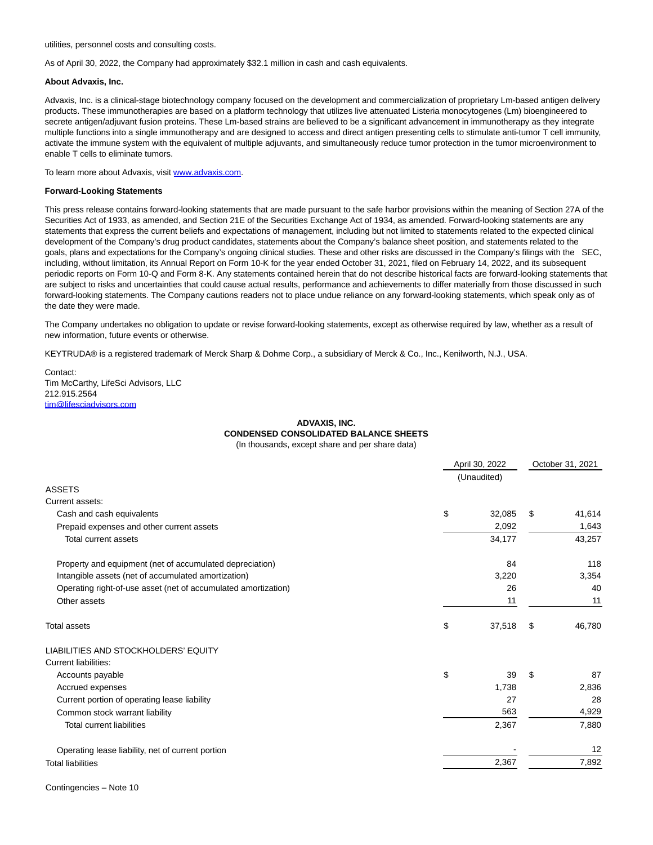utilities, personnel costs and consulting costs.

As of April 30, 2022, the Company had approximately \$32.1 million in cash and cash equivalents.

#### **About Advaxis, Inc.**

Advaxis, Inc. is a clinical-stage biotechnology company focused on the development and commercialization of proprietary Lm-based antigen delivery products. These immunotherapies are based on a platform technology that utilizes live attenuated Listeria monocytogenes (Lm) bioengineered to secrete antigen/adjuvant fusion proteins. These Lm-based strains are believed to be a significant advancement in immunotherapy as they integrate multiple functions into a single immunotherapy and are designed to access and direct antigen presenting cells to stimulate anti-tumor T cell immunity, activate the immune system with the equivalent of multiple adjuvants, and simultaneously reduce tumor protection in the tumor microenvironment to enable T cells to eliminate tumors.

To learn more about Advaxis, visi[t www.advaxis.com.](http://www.advaxis.com/)

#### **Forward-Looking Statements**

This press release contains forward-looking statements that are made pursuant to the safe harbor provisions within the meaning of Section 27A of the Securities Act of 1933, as amended, and Section 21E of the Securities Exchange Act of 1934, as amended. Forward-looking statements are any statements that express the current beliefs and expectations of management, including but not limited to statements related to the expected clinical development of the Company's drug product candidates, statements about the Company's balance sheet position, and statements related to the goals, plans and expectations for the Company's ongoing clinical studies. These and other risks are discussed in the Company's filings with the SEC, including, without limitation, its Annual Report on Form 10-K for the year ended October 31, 2021, filed on February 14, 2022, and its subsequent periodic reports on Form 10-Q and Form 8-K. Any statements contained herein that do not describe historical facts are forward-looking statements that are subject to risks and uncertainties that could cause actual results, performance and achievements to differ materially from those discussed in such forward-looking statements. The Company cautions readers not to place undue reliance on any forward-looking statements, which speak only as of the date they were made.

The Company undertakes no obligation to update or revise forward-looking statements, except as otherwise required by law, whether as a result of new information, future events or otherwise.

KEYTRUDA® is a registered trademark of Merck Sharp & Dohme Corp., a subsidiary of Merck & Co., Inc., Kenilworth, N.J., USA.

Contact: Tim McCarthy, LifeSci Advisors, LLC 212.915.2564 [tim@lifesciadvisors.com](https://www.globenewswire.com/Tracker?data=4Hs56wsVYKuDaoPgmAEOgXrx9Fhi2WPZK1iYh7fTJ9mS37CyfOsaPGeCiQLNq-J_ytsrpryJltYxLaQwR2zkvLmR1p7M7k46DE-m6ixwFZk=)

#### **ADVAXIS, INC. CONDENSED CONSOLIDATED BALANCE SHEETS** (In thousands, except share and per share data)

|                                                                | April 30, 2022 |             | October 31, 2021 |        |
|----------------------------------------------------------------|----------------|-------------|------------------|--------|
|                                                                |                | (Unaudited) |                  |        |
| <b>ASSETS</b>                                                  |                |             |                  |        |
| Current assets:                                                |                |             |                  |        |
| Cash and cash equivalents                                      | \$             | 32,085      | \$               | 41,614 |
| Prepaid expenses and other current assets                      |                | 2,092       |                  | 1,643  |
| <b>Total current assets</b>                                    |                | 34,177      |                  | 43,257 |
| Property and equipment (net of accumulated depreciation)       |                | 84          |                  | 118    |
| Intangible assets (net of accumulated amortization)            |                | 3,220       |                  | 3,354  |
| Operating right-of-use asset (net of accumulated amortization) |                | 26          |                  | 40     |
| Other assets                                                   |                | 11          |                  | 11     |
| <b>Total assets</b>                                            | \$             | 37,518      | \$               | 46,780 |
| LIABILITIES AND STOCKHOLDERS' EQUITY                           |                |             |                  |        |
| <b>Current liabilities:</b>                                    |                |             |                  |        |
| Accounts payable                                               | \$             | 39          | \$               | 87     |
| Accrued expenses                                               |                | 1,738       |                  | 2,836  |
| Current portion of operating lease liability                   |                | 27          |                  | 28     |
| Common stock warrant liability                                 |                | 563         |                  | 4,929  |
| <b>Total current liabilities</b>                               |                | 2,367       |                  | 7,880  |
| Operating lease liability, net of current portion              |                |             |                  | 12     |
| <b>Total liabilities</b>                                       |                | 2,367       |                  | 7,892  |
|                                                                |                |             |                  |        |

Contingencies – Note 10